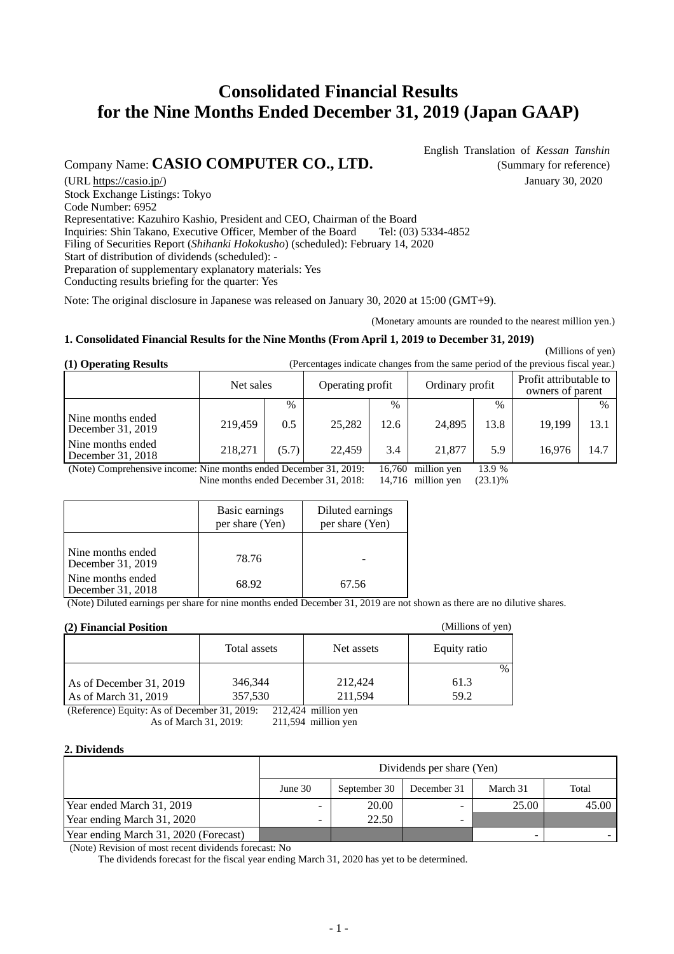# **Consolidated Financial Results for the Nine Months Ended December 31, 2019 (Japan GAAP)**

Company Name: **CASIO COMPUTER CO., LTD.** (Summary for reference)

(URL https://casio.jp/) January 30, 2020 Stock Exchange Listings: Tokyo Code Number: 6952 Representative: Kazuhiro Kashio, President and CEO, Chairman of the Board Inquiries: Shin Takano, Executive Officer, Member of the Board Tel: (03) 5334-4852 Filing of Securities Report (*Shihanki Hokokusho*) (scheduled): February 14, 2020 Start of distribution of dividends (scheduled): - Preparation of supplementary explanatory materials: Yes Conducting results briefing for the quarter: Yes

Note: The original disclosure in Japanese was released on January 30, 2020 at 15:00 (GMT+9).

(Monetary amounts are rounded to the nearest million yen.)

(Millions of yen)

### **1. Consolidated Financial Results for the Nine Months (From April 1, 2019 to December 31, 2019)**

**(1) Operating Results** (Percentages indicate changes from the same period of the previous fiscal year.)

| $\overline{\phantom{a}}$                 |           |       |                  |               |        |               |                 |      |                                            |  |
|------------------------------------------|-----------|-------|------------------|---------------|--------|---------------|-----------------|------|--------------------------------------------|--|
|                                          | Net sales |       | Operating profit |               |        |               | Ordinary profit |      | Profit attributable to<br>owners of parent |  |
|                                          |           | $\%$  |                  | $\frac{0}{0}$ |        | $\frac{0}{0}$ |                 | $\%$ |                                            |  |
| Nine months ended<br>December $31, 2019$ | 219.459   | 0.5   | 25,282           | 12.6          | 24,895 | 13.8          | 19.199          | 13.1 |                                            |  |
| Nine months ended<br>December $31, 2018$ | 218,271   | (5.7) | 22.459           | 3.4           | 21,877 | 5.9           | 16.976          | 14.7 |                                            |  |

(Note) Comprehensive income: Nine months ended December 31, 2019: 16,760 million yen 13.9 %<br>Nine months ended December 31, 2018: 14,716 million yen (23.1)%

Nine months ended December 31, 2018: 14,716 million yen (23.1)%

|                                        | Basic earnings<br>per share (Yen) | Diluted earnings<br>per share (Yen) |
|----------------------------------------|-----------------------------------|-------------------------------------|
| Nine months ended<br>December 31, 2019 | 78.76                             |                                     |
| Nine months ended<br>December 31, 2018 | 68.92                             | 67.56                               |

(Note) Diluted earnings per share for nine months ended December 31, 2019 are not shown as there are no dilutive shares.

### **(2) Financial Position**

| (2) Financial I Ostubil<br>$\frac{1}{1}$ |              |            |              |  |  |  |  |
|------------------------------------------|--------------|------------|--------------|--|--|--|--|
|                                          | Total assets | Net assets | Equity ratio |  |  |  |  |
|                                          |              |            | $\%$         |  |  |  |  |
| As of December 31, 2019                  | 346,344      | 212,424    | 61.3         |  |  |  |  |
| As of March 31, 2019                     | 357,530      | 211,594    | 59.2         |  |  |  |  |

(Reference) Equity: As of December 31, 2019: 212,424 million yen

As of March 31, 2019: 211,594 million yen

### **2. Dividends**

|                                       | Dividends per share (Yen) |              |                          |          |       |  |  |
|---------------------------------------|---------------------------|--------------|--------------------------|----------|-------|--|--|
|                                       | June $301$                | September 30 | December 31              | March 31 | Total |  |  |
| Year ended March 31, 2019             |                           | 20.00        |                          | 25.00    | 45.00 |  |  |
| Year ending March 31, 2020            | $\overline{\phantom{0}}$  | 22.50        | $\overline{\phantom{a}}$ |          |       |  |  |
| Year ending March 31, 2020 (Forecast) |                           |              |                          |          |       |  |  |

(Note) Revision of most recent dividends forecast: No

The dividends forecast for the fiscal year ending March 31, 2020 has yet to be determined.

English Translation of *Kessan Tanshin*

(Millions of yen)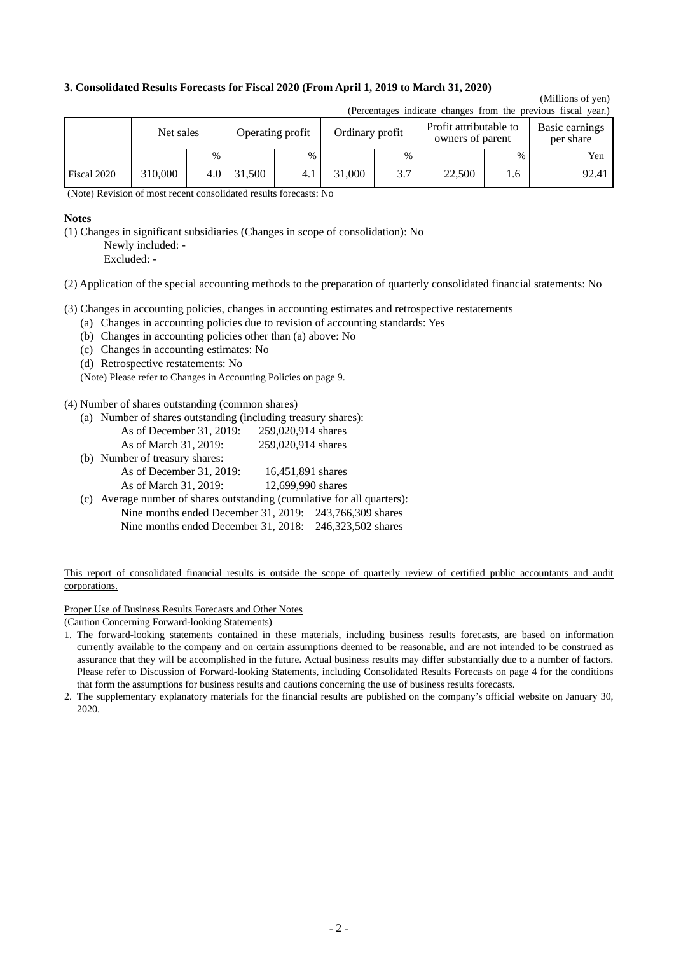### **3. Consolidated Results Forecasts for Fiscal 2020 (From April 1, 2019 to March 31, 2020)**

#### (Millions of yen)  $(Dar $)$  indicate changes from the previous fiscal year.)$

|             | relemates indicate changes from the previous fiscal year. |      |                  |      |                 |      |                                            |      |                             |  |
|-------------|-----------------------------------------------------------|------|------------------|------|-----------------|------|--------------------------------------------|------|-----------------------------|--|
|             | Net sales                                                 |      | Operating profit |      | Ordinary profit |      | Profit attributable to<br>owners of parent |      | Basic earnings<br>per share |  |
|             |                                                           | $\%$ |                  | $\%$ |                 | $\%$ |                                            | $\%$ | Yen                         |  |
| Fiscal 2020 | 310,000                                                   | 4.0  | 1,500            | 4.1  | 31,000          | 3.7  | 22,500                                     | 1.6  | 92.41                       |  |

(Note) Revision of most recent consolidated results forecasts: No

### **Notes**

(1) Changes in significant subsidiaries (Changes in scope of consolidation): No

Newly included: -

Excluded: -

(2) Application of the special accounting methods to the preparation of quarterly consolidated financial statements: No

(3) Changes in accounting policies, changes in accounting estimates and retrospective restatements

- (a) Changes in accounting policies due to revision of accounting standards: Yes
- (b) Changes in accounting policies other than (a) above: No
- (c) Changes in accounting estimates: No
- (d) Retrospective restatements: No

(Note) Please refer to Changes in Accounting Policies on page 9.

(4) Number of shares outstanding (common shares)

(a) Number of shares outstanding (including treasury shares):

| As of December $31, 2019$ : | 259,020,914 shares |
|-----------------------------|--------------------|
| As of March 31, 2019:       | 259,020,914 shares |

(b) Number of treasury shares:

| $\sim$ |                                                                         |                   |
|--------|-------------------------------------------------------------------------|-------------------|
|        | As of December 31, 2019:                                                | 16,451,891 shares |
|        | As of March 31, 2019:                                                   | 12,699,990 shares |
|        | (c) Average number of shares outstanding (cumulative for all quarters): |                   |

Nine months ended December 31, 2019: 243,766,309 shares Nine months ended December 31, 2018: 246,323,502 shares

### This report of consolidated financial results is outside the scope of quarterly review of certified public accountants and audit corporations.

Proper Use of Business Results Forecasts and Other Notes

(Caution Concerning Forward-looking Statements)

- 1. The forward-looking statements contained in these materials, including business results forecasts, are based on information currently available to the company and on certain assumptions deemed to be reasonable, and are not intended to be construed as assurance that they will be accomplished in the future. Actual business results may differ substantially due to a number of factors. Please refer to Discussion of Forward-looking Statements, including Consolidated Results Forecasts on page 4 for the conditions that form the assumptions for business results and cautions concerning the use of business results forecasts.
- 2. The supplementary explanatory materials for the financial results are published on the company's official website on January 30, 2020.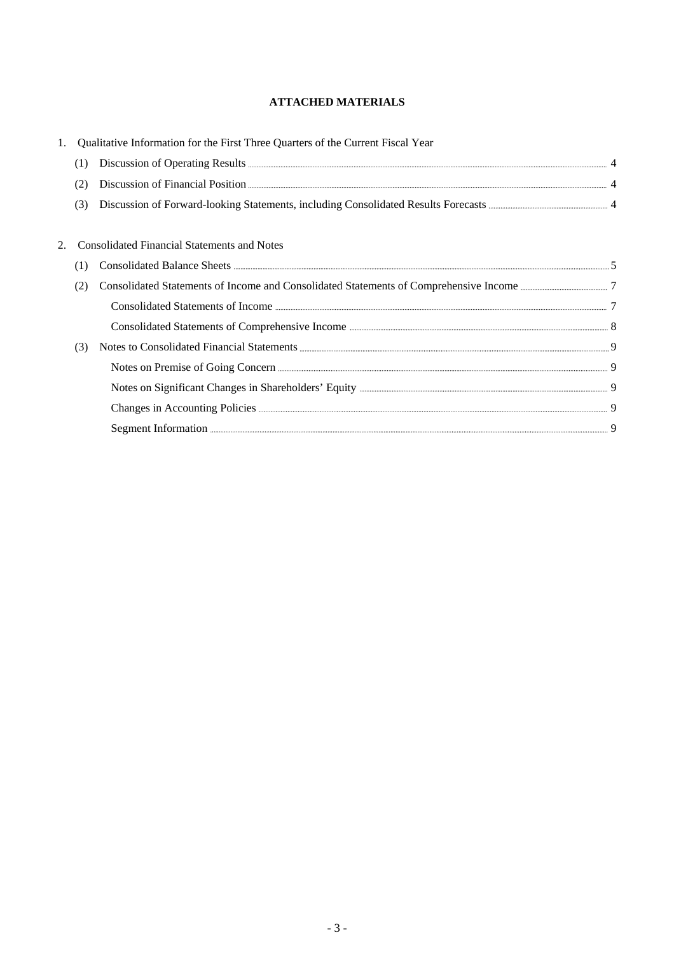# **ATTACHED MATERIALS**

|    |     | Qualitative Information for the First Three Quarters of the Current Fiscal Year                                                                                                                                                     |  |
|----|-----|-------------------------------------------------------------------------------------------------------------------------------------------------------------------------------------------------------------------------------------|--|
|    | (1) |                                                                                                                                                                                                                                     |  |
|    | (2) |                                                                                                                                                                                                                                     |  |
|    | (3) |                                                                                                                                                                                                                                     |  |
|    |     |                                                                                                                                                                                                                                     |  |
| 2. |     | <b>Consolidated Financial Statements and Notes</b>                                                                                                                                                                                  |  |
|    | (1) |                                                                                                                                                                                                                                     |  |
|    |     |                                                                                                                                                                                                                                     |  |
|    |     | Consolidated Statements of Income <b>manufactures</b> and the statements of $\overline{7}$                                                                                                                                          |  |
|    |     |                                                                                                                                                                                                                                     |  |
|    | (3) |                                                                                                                                                                                                                                     |  |
|    |     |                                                                                                                                                                                                                                     |  |
|    |     | Notes on Significant Changes in Shareholders' Equity <b>Equiliber 2</b> and 2 and 2 and 2 and 2 and 2 and 2 and 2 and 2 and 2 and 2 and 2 and 2 and 2 and 2 and 2 and 2 and 2 and 2 and 2 and 2 and 2 and 2 and 2 and 2 and 2 and 2 |  |
|    |     | Changes in Accounting Policies <b>Changes</b> in Accounting Policies <b>Changes</b> 1                                                                                                                                               |  |
|    |     |                                                                                                                                                                                                                                     |  |
|    |     |                                                                                                                                                                                                                                     |  |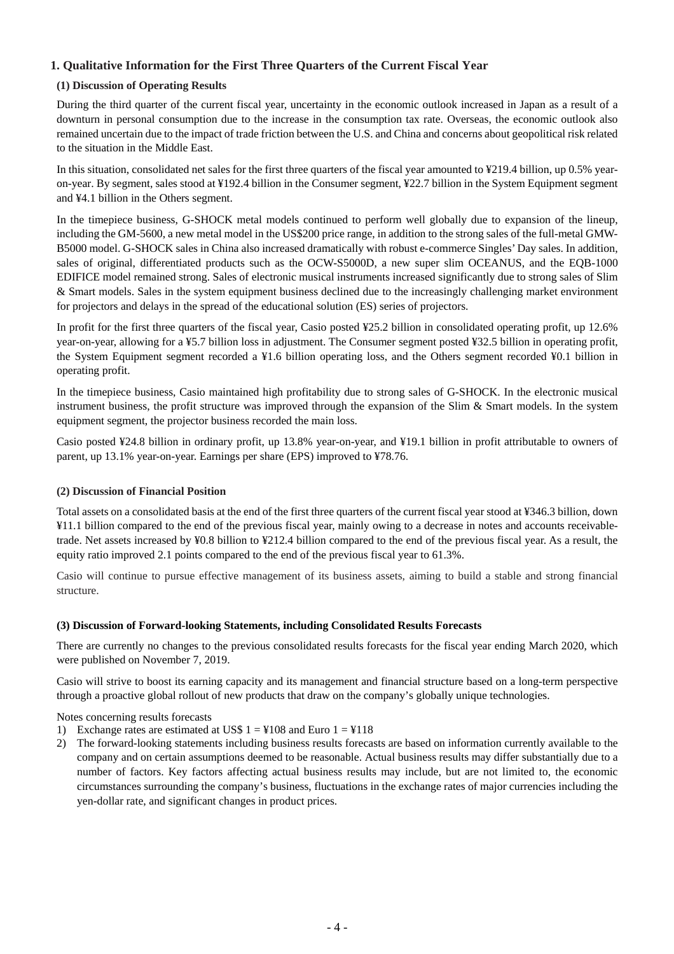# **1. Qualitative Information for the First Three Quarters of the Current Fiscal Year**

### **(1) Discussion of Operating Results**

During the third quarter of the current fiscal year, uncertainty in the economic outlook increased in Japan as a result of a downturn in personal consumption due to the increase in the consumption tax rate. Overseas, the economic outlook also remained uncertain due to the impact of trade friction between the U.S. and China and concerns about geopolitical risk related to the situation in the Middle East.

In this situation, consolidated net sales for the first three quarters of the fiscal year amounted to ¥219.4 billion, up 0.5% yearon-year. By segment, sales stood at ¥192.4 billion in the Consumer segment, ¥22.7 billion in the System Equipment segment and ¥4.1 billion in the Others segment.

In the timepiece business, G-SHOCK metal models continued to perform well globally due to expansion of the lineup, including the GM-5600, a new metal model in the US\$200 price range, in addition to the strong sales of the full-metal GMW-B5000 model. G-SHOCK sales in China also increased dramatically with robust e-commerce Singles' Day sales. In addition, sales of original, differentiated products such as the OCW-S5000D, a new super slim OCEANUS, and the EQB-1000 EDIFICE model remained strong. Sales of electronic musical instruments increased significantly due to strong sales of Slim & Smart models. Sales in the system equipment business declined due to the increasingly challenging market environment for projectors and delays in the spread of the educational solution (ES) series of projectors.

In profit for the first three quarters of the fiscal year, Casio posted ¥25.2 billion in consolidated operating profit, up 12.6% year-on-year, allowing for a ¥5.7 billion loss in adjustment. The Consumer segment posted ¥32.5 billion in operating profit, the System Equipment segment recorded a ¥1.6 billion operating loss, and the Others segment recorded ¥0.1 billion in operating profit.

In the timepiece business, Casio maintained high profitability due to strong sales of G-SHOCK. In the electronic musical instrument business, the profit structure was improved through the expansion of the Slim  $\&$  Smart models. In the system equipment segment, the projector business recorded the main loss.

Casio posted ¥24.8 billion in ordinary profit, up 13.8% year-on-year, and ¥19.1 billion in profit attributable to owners of parent, up 13.1% year-on-year. Earnings per share (EPS) improved to ¥78.76.

### **(2) Discussion of Financial Position**

Total assets on a consolidated basis at the end of the first three quarters of the current fiscal year stood at ¥346.3 billion, down ¥11.1 billion compared to the end of the previous fiscal year, mainly owing to a decrease in notes and accounts receivabletrade. Net assets increased by ¥0.8 billion to ¥212.4 billion compared to the end of the previous fiscal year. As a result, the equity ratio improved 2.1 points compared to the end of the previous fiscal year to 61.3%.

Casio will continue to pursue effective management of its business assets, aiming to build a stable and strong financial structure.

### **(3) Discussion of Forward-looking Statements, including Consolidated Results Forecasts**

There are currently no changes to the previous consolidated results forecasts for the fiscal year ending March 2020, which were published on November 7, 2019.

Casio will strive to boost its earning capacity and its management and financial structure based on a long-term perspective through a proactive global rollout of new products that draw on the company's globally unique technologies.

Notes concerning results forecasts

- 1) Exchange rates are estimated at US\$  $1 = 4108$  and Euro  $1 = 4118$
- 2) The forward-looking statements including business results forecasts are based on information currently available to the company and on certain assumptions deemed to be reasonable. Actual business results may differ substantially due to a number of factors. Key factors affecting actual business results may include, but are not limited to, the economic circumstances surrounding the company's business, fluctuations in the exchange rates of major currencies including the yen-dollar rate, and significant changes in product prices.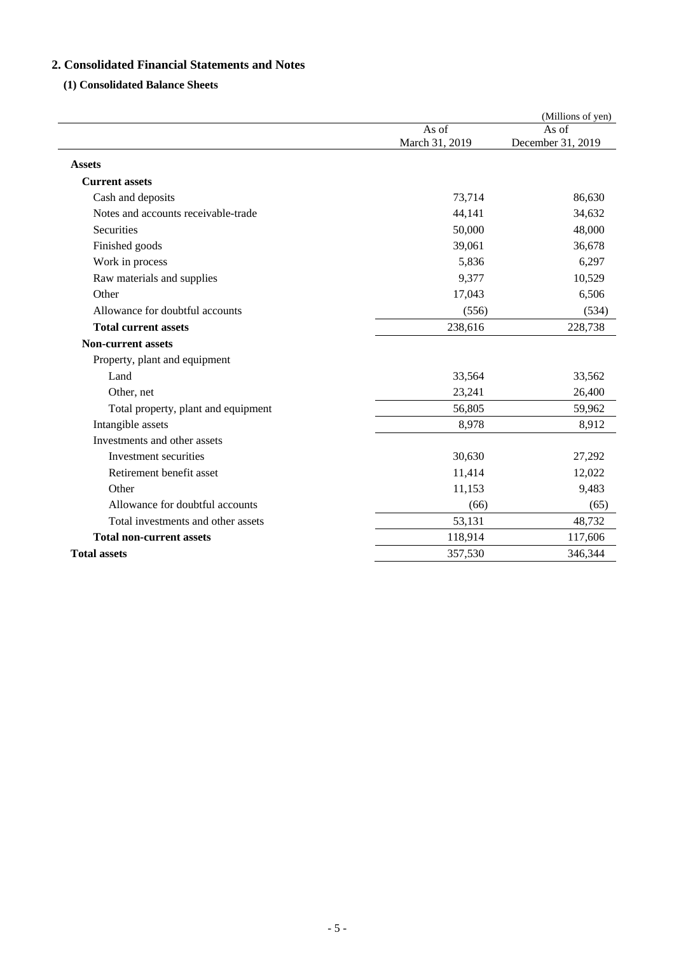# **2. Consolidated Financial Statements and Notes**

# **(1) Consolidated Balance Sheets**

|                                     |                | (Millions of yen) |
|-------------------------------------|----------------|-------------------|
|                                     | As of          | As of             |
|                                     | March 31, 2019 | December 31, 2019 |
| <b>Assets</b>                       |                |                   |
| <b>Current assets</b>               |                |                   |
| Cash and deposits                   | 73,714         | 86,630            |
| Notes and accounts receivable-trade | 44,141         | 34,632            |
| Securities                          | 50,000         | 48,000            |
| Finished goods                      | 39,061         | 36,678            |
| Work in process                     | 5,836          | 6,297             |
| Raw materials and supplies          | 9,377          | 10,529            |
| Other                               | 17,043         | 6,506             |
| Allowance for doubtful accounts     | (556)          | (534)             |
| <b>Total current assets</b>         | 238,616        | 228,738           |
| <b>Non-current assets</b>           |                |                   |
| Property, plant and equipment       |                |                   |
| Land                                | 33,564         | 33,562            |
| Other, net                          | 23,241         | 26,400            |
| Total property, plant and equipment | 56,805         | 59,962            |
| Intangible assets                   | 8,978          | 8,912             |
| Investments and other assets        |                |                   |
| Investment securities               | 30,630         | 27,292            |
| Retirement benefit asset            | 11,414         | 12,022            |
| Other                               | 11,153         | 9,483             |
| Allowance for doubtful accounts     | (66)           | (65)              |
| Total investments and other assets  | 53,131         | 48,732            |
| <b>Total non-current assets</b>     | 118,914        | 117,606           |
| <b>Total assets</b>                 | 357,530        | 346,344           |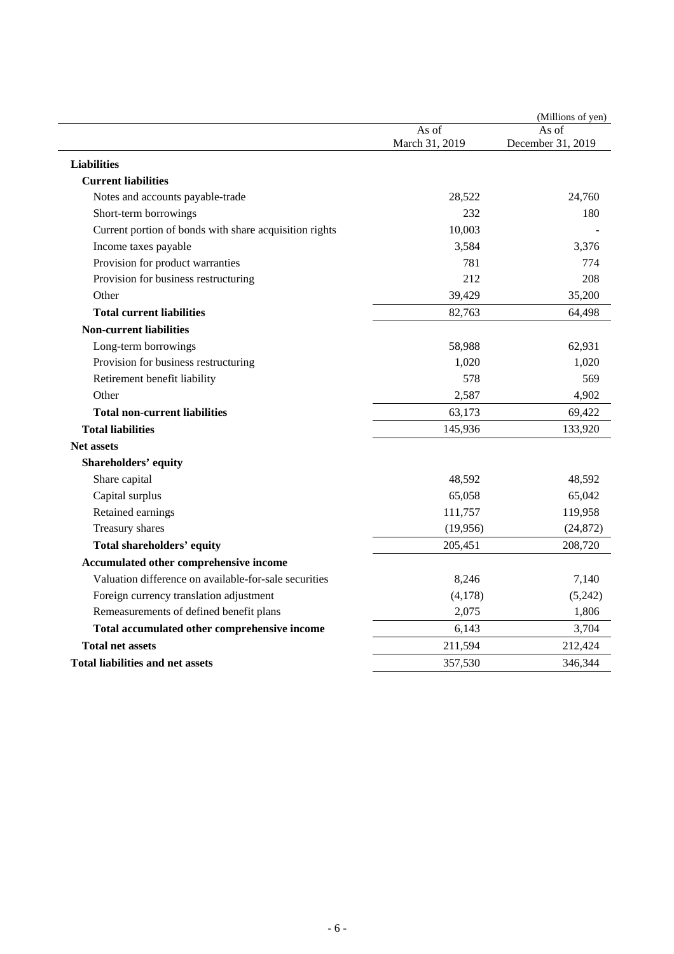|                                                        |                | (Millions of yen) |
|--------------------------------------------------------|----------------|-------------------|
|                                                        | As of          | As of             |
|                                                        | March 31, 2019 | December 31, 2019 |
| <b>Liabilities</b>                                     |                |                   |
| <b>Current liabilities</b>                             |                |                   |
| Notes and accounts payable-trade                       | 28,522         | 24,760            |
| Short-term borrowings                                  | 232            | 180               |
| Current portion of bonds with share acquisition rights | 10,003         |                   |
| Income taxes payable                                   | 3,584          | 3,376             |
| Provision for product warranties                       | 781            | 774               |
| Provision for business restructuring                   | 212            | 208               |
| Other                                                  | 39,429         | 35,200            |
| <b>Total current liabilities</b>                       | 82,763         | 64,498            |
| <b>Non-current liabilities</b>                         |                |                   |
| Long-term borrowings                                   | 58,988         | 62,931            |
| Provision for business restructuring                   | 1,020          | 1,020             |
| Retirement benefit liability                           | 578            | 569               |
| Other                                                  | 2,587          | 4,902             |
| <b>Total non-current liabilities</b>                   | 63,173         | 69,422            |
| <b>Total liabilities</b>                               | 145,936        | 133,920           |
| <b>Net assets</b>                                      |                |                   |
| <b>Shareholders' equity</b>                            |                |                   |
| Share capital                                          | 48,592         | 48,592            |
| Capital surplus                                        | 65,058         | 65,042            |
| Retained earnings                                      | 111,757        | 119,958           |
| Treasury shares                                        | (19,956)       | (24, 872)         |
| Total shareholders' equity                             | 205,451        | 208,720           |
| Accumulated other comprehensive income                 |                |                   |
| Valuation difference on available-for-sale securities  | 8,246          | 7,140             |
| Foreign currency translation adjustment                | (4,178)        | (5,242)           |
| Remeasurements of defined benefit plans                | 2,075          | 1,806             |
| Total accumulated other comprehensive income           | 6,143          | 3,704             |
| <b>Total net assets</b>                                | 211,594        | 212,424           |
| <b>Total liabilities and net assets</b>                | 357,530        | 346,344           |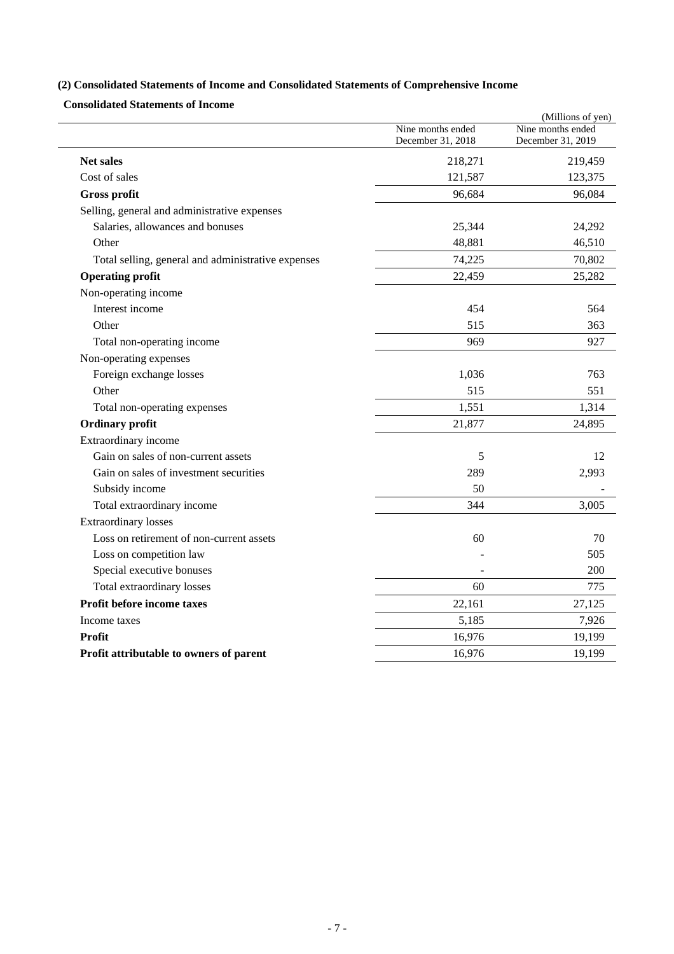# **(2) Consolidated Statements of Income and Consolidated Statements of Comprehensive Income**

**Consolidated Statements of Income** 

|                                                    |                                        | (Millions of yen)                      |
|----------------------------------------------------|----------------------------------------|----------------------------------------|
|                                                    | Nine months ended<br>December 31, 2018 | Nine months ended<br>December 31, 2019 |
| <b>Net sales</b>                                   | 218,271                                | 219,459                                |
| Cost of sales                                      | 121,587                                | 123,375                                |
| <b>Gross profit</b>                                | 96,684                                 | 96,084                                 |
| Selling, general and administrative expenses       |                                        |                                        |
| Salaries, allowances and bonuses                   | 25,344                                 | 24,292                                 |
| Other                                              | 48,881                                 | 46,510                                 |
| Total selling, general and administrative expenses | 74,225                                 | 70,802                                 |
| <b>Operating profit</b>                            | 22,459                                 | 25,282                                 |
| Non-operating income                               |                                        |                                        |
| Interest income                                    | 454                                    | 564                                    |
| Other                                              | 515                                    | 363                                    |
| Total non-operating income                         | 969                                    | 927                                    |
| Non-operating expenses                             |                                        |                                        |
| Foreign exchange losses                            | 1,036                                  | 763                                    |
| Other                                              | 515                                    | 551                                    |
| Total non-operating expenses                       | 1,551                                  | 1,314                                  |
| <b>Ordinary profit</b>                             | 21,877                                 | 24,895                                 |
| Extraordinary income                               |                                        |                                        |
| Gain on sales of non-current assets                | 5                                      | 12                                     |
| Gain on sales of investment securities             | 289                                    | 2,993                                  |
| Subsidy income                                     | 50                                     |                                        |
| Total extraordinary income                         | 344                                    | 3,005                                  |
| <b>Extraordinary losses</b>                        |                                        |                                        |
| Loss on retirement of non-current assets           | 60                                     | 70                                     |
| Loss on competition law                            |                                        | 505                                    |
| Special executive bonuses                          |                                        | 200                                    |
| Total extraordinary losses                         | 60                                     | 775                                    |
| Profit before income taxes                         | 22,161                                 | 27,125                                 |
| Income taxes                                       | 5,185                                  | 7,926                                  |
| <b>Profit</b>                                      | 16,976                                 | 19,199                                 |
| Profit attributable to owners of parent            | 16,976                                 | 19,199                                 |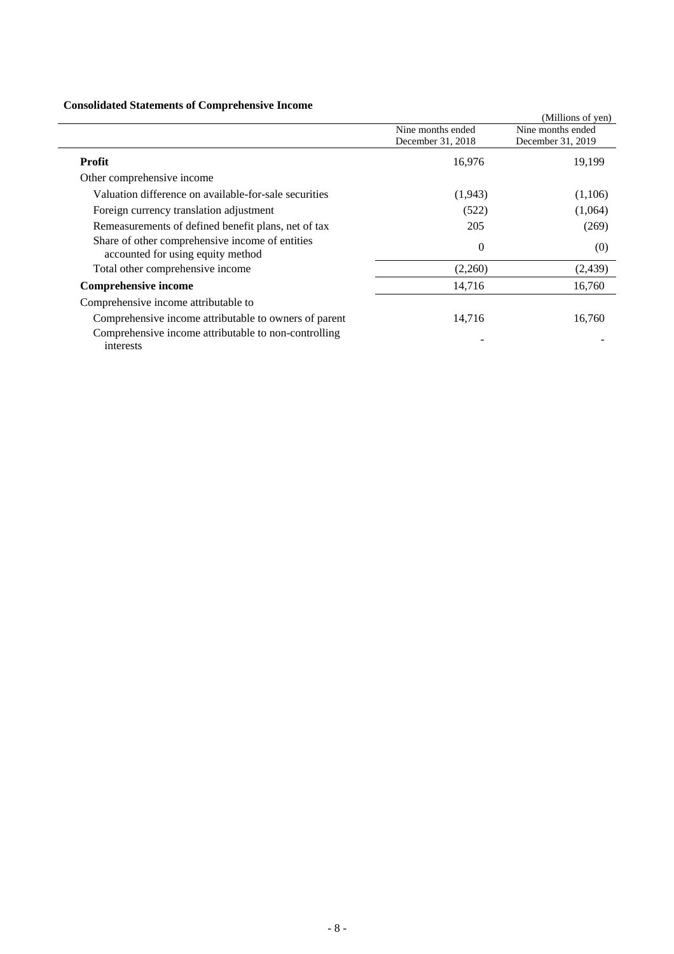# **Consolidated Statements of Comprehensive Income**

| Consolidated Statements of Complements of Income                                     |                   |                   |
|--------------------------------------------------------------------------------------|-------------------|-------------------|
|                                                                                      |                   | (Millions of yen) |
|                                                                                      | Nine months ended | Nine months ended |
|                                                                                      | December 31, 2018 | December 31, 2019 |
| Profit                                                                               | 16,976            | 19,199            |
| Other comprehensive income                                                           |                   |                   |
| Valuation difference on available-for-sale securities                                | (1,943)           | (1,106)           |
| Foreign currency translation adjustment                                              | (522)             | (1,064)           |
| Remeasurements of defined benefit plans, net of tax                                  | 205               | (269)             |
| Share of other comprehensive income of entities<br>accounted for using equity method | $\Omega$          | (0)               |
| Total other comprehensive income                                                     | (2,260)           | (2,439)           |
| <b>Comprehensive income</b>                                                          | 14,716            | 16,760            |
| Comprehensive income attributable to                                                 |                   |                   |
| Comprehensive income attributable to owners of parent                                | 14,716            | 16,760            |
| Comprehensive income attributable to non-controlling<br>interests                    |                   |                   |